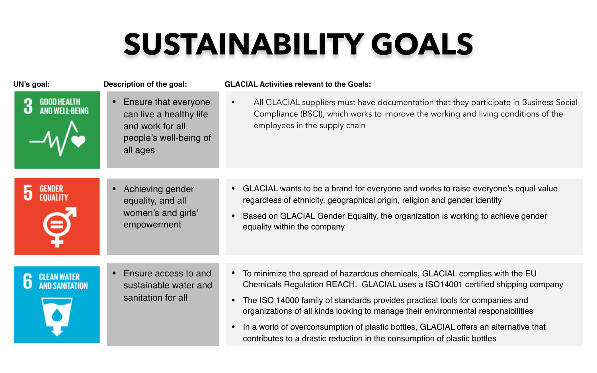## **SUSTAINABILITY GOALS**

| UN's goal:         | Description of the goal:                                                                                  | <b>GLACIAL Activities relevant to the Goals:</b>                                                                                                                                                                                                                                   |
|--------------------|-----------------------------------------------------------------------------------------------------------|------------------------------------------------------------------------------------------------------------------------------------------------------------------------------------------------------------------------------------------------------------------------------------|
| <b>GOOD HEALTH</b> | Ensure that everyone<br>can live a healthy life<br>and work for all<br>people's well-being of<br>all ages | All GLACIAL suppliers must have documentation that they participate in Business Social<br>Compliance (BSCI), which works to improve the working and living conditions of the<br>employees in the supply chain                                                                      |
|                    |                                                                                                           |                                                                                                                                                                                                                                                                                    |
|                    | Achieving gender<br>equality, and all<br>women's and girls'<br>empowerment                                | GLACIAL wants to be a brand for everyone and works to raise everyone's equal value<br>regardless of ethnicity, geographical origin, religion and gender identity<br>Based on GLACIAL Gender Equality, the organization is working to achieve gender<br>equality within the company |
|                    |                                                                                                           |                                                                                                                                                                                                                                                                                    |
|                    | Ensure access to and<br>sustainable water and<br>sanitation for all                                       | • To minimize the spread of hazardous chemicals, GLACIAL complies with the EU<br>Chemicals Regulation REACH. GLACIAL uses a ISO14001 certified shipping company                                                                                                                    |
|                    |                                                                                                           | The ISO 14000 family of standards provides practical tools for companies and<br>organizations of all kinds looking to manage their environmental responsibilities                                                                                                                  |
|                    |                                                                                                           | In a world of overconsumption of plastic bottles, GLACIAL offers an alternative that<br>$\bullet$<br>contributes to a drastic reduction in the consumption of plastic bottles                                                                                                      |